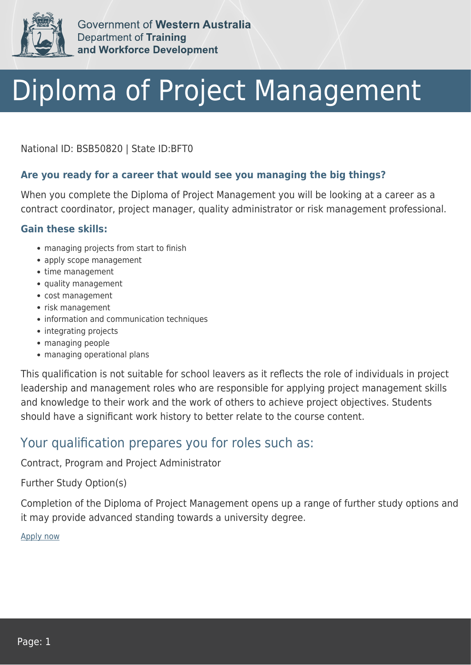

Government of Western Australia **Department of Training** and Workforce Development

# Diploma of Project Management

National ID: BSB50820 | State ID:BFT0

## **Are you ready for a career that would see you managing the big things?**

When you complete the Diploma of Project Management you will be looking at a career as a contract coordinator, project manager, quality administrator or risk management professional.

### **Gain these skills:**

- managing projects from start to finish
- apply scope management
- time management
- quality management
- cost management
- risk management
- information and communication techniques
- integrating projects
- managing people
- managing operational plans

This qualification is not suitable for school leavers as it reflects the role of individuals in project leadership and management roles who are responsible for applying project management skills and knowledge to their work and the work of others to achieve project objectives. Students should have a significant work history to better relate to the course content.

## Your qualification prepares you for roles such as:

Contract, Program and Project Administrator

#### Further Study Option(s)

Completion of the Diploma of Project Management opens up a range of further study options and it may provide advanced standing towards a university degree.

[Apply now](https://tasonline.tafe.wa.edu.au/Default.aspx)